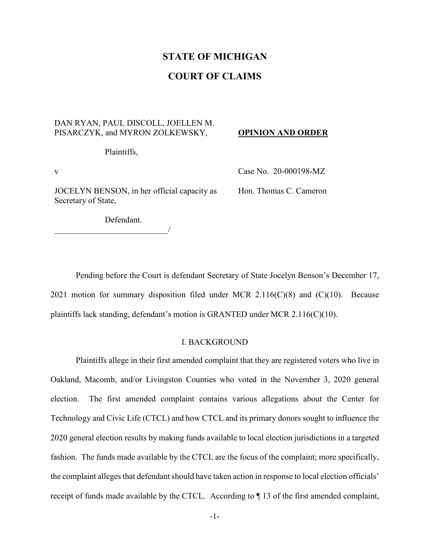## **STATE OF MICHIGAN**

## **COURT OF CLAIMS**

### DAN RYAN, PAUL DISCOLL, JOELLEN M. PISARCZYK, and MYRON ZOLKEWSKY,

#### **OPINION AND ORDER**

Plaintiffs,

JOCELYN BENSON, in her official capacity as Secretary of State,

v Case No. 20-000198-MZ

Hon. Thomas C. Cameron

Defendant.

\_\_\_\_\_\_\_\_\_\_\_\_\_\_\_\_\_\_\_\_\_\_\_\_\_\_\_/

Pending before the Court is defendant Secretary of State Jocelyn Benson's December 17, 2021 motion for summary disposition filed under MCR 2.116( $C(8)$ ) and  $(C)(10)$ . Because plaintiffs lack standing, defendant's motion is GRANTED under MCR 2.116(C)(10).

#### I. BACKGROUND

Plaintiffs allege in their first amended complaint that they are registered voters who live in Oakland, Macomb, and/or Livingston Counties who voted in the November 3, 2020 general election. The first amended complaint contains various allegations about the Center for Technology and Civic Life (CTCL) and how CTCL and its primary donors sought to influence the 2020 general election results by making funds available to local election jurisdictions in a targeted fashion. The funds made available by the CTCL are the focus of the complaint; more specifically, the complaint alleges that defendant should have taken action in response to local election officials' receipt of funds made available by the CTCL. According to ¶ 13 of the first amended complaint,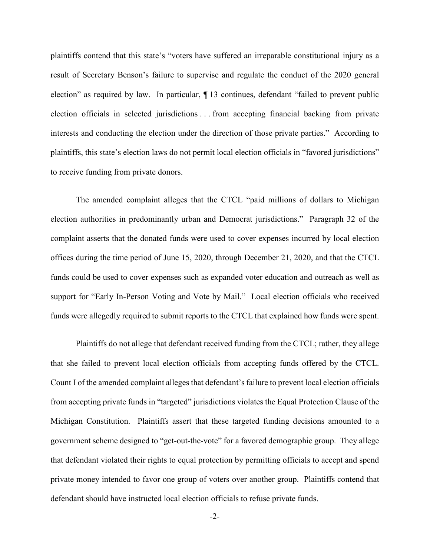plaintiffs contend that this state's "voters have suffered an irreparable constitutional injury as a result of Secretary Benson's failure to supervise and regulate the conduct of the 2020 general election" as required by law. In particular, ¶ 13 continues, defendant "failed to prevent public election officials in selected jurisdictions . . . from accepting financial backing from private interests and conducting the election under the direction of those private parties." According to plaintiffs, this state's election laws do not permit local election officials in "favored jurisdictions" to receive funding from private donors.

The amended complaint alleges that the CTCL "paid millions of dollars to Michigan election authorities in predominantly urban and Democrat jurisdictions." Paragraph 32 of the complaint asserts that the donated funds were used to cover expenses incurred by local election offices during the time period of June 15, 2020, through December 21, 2020, and that the CTCL funds could be used to cover expenses such as expanded voter education and outreach as well as support for "Early In-Person Voting and Vote by Mail." Local election officials who received funds were allegedly required to submit reports to the CTCL that explained how funds were spent.

Plaintiffs do not allege that defendant received funding from the CTCL; rather, they allege that she failed to prevent local election officials from accepting funds offered by the CTCL. Count I of the amended complaint alleges that defendant's failure to prevent local election officials from accepting private funds in "targeted" jurisdictions violates the Equal Protection Clause of the Michigan Constitution. Plaintiffs assert that these targeted funding decisions amounted to a government scheme designed to "get-out-the-vote" for a favored demographic group. They allege that defendant violated their rights to equal protection by permitting officials to accept and spend private money intended to favor one group of voters over another group. Plaintiffs contend that defendant should have instructed local election officials to refuse private funds.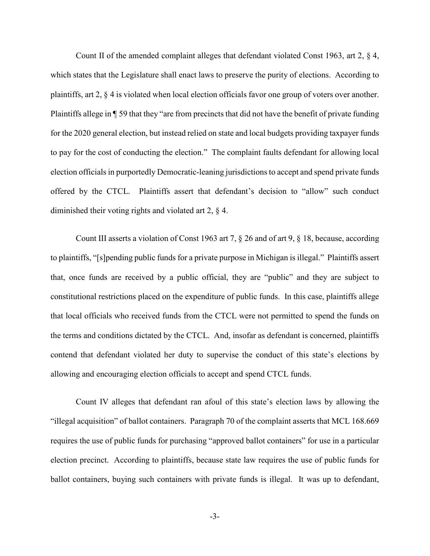Count II of the amended complaint alleges that defendant violated Const 1963, art 2, § 4, which states that the Legislature shall enact laws to preserve the purity of elections. According to plaintiffs, art 2, § 4 is violated when local election officials favor one group of voters over another. Plaintiffs allege in ¶ 59 that they "are from precincts that did not have the benefit of private funding for the 2020 general election, but instead relied on state and local budgets providing taxpayer funds to pay for the cost of conducting the election." The complaint faults defendant for allowing local election officials in purportedly Democratic-leaning jurisdictions to accept and spend private funds offered by the CTCL. Plaintiffs assert that defendant's decision to "allow" such conduct diminished their voting rights and violated art 2, § 4.

Count III asserts a violation of Const 1963 art 7, § 26 and of art 9, § 18, because, according to plaintiffs, "[s]pending public funds for a private purpose in Michigan is illegal." Plaintiffs assert that, once funds are received by a public official, they are "public" and they are subject to constitutional restrictions placed on the expenditure of public funds. In this case, plaintiffs allege that local officials who received funds from the CTCL were not permitted to spend the funds on the terms and conditions dictated by the CTCL. And, insofar as defendant is concerned, plaintiffs contend that defendant violated her duty to supervise the conduct of this state's elections by allowing and encouraging election officials to accept and spend CTCL funds.

Count IV alleges that defendant ran afoul of this state's election laws by allowing the "illegal acquisition" of ballot containers. Paragraph 70 of the complaint asserts that MCL 168.669 requires the use of public funds for purchasing "approved ballot containers" for use in a particular election precinct. According to plaintiffs, because state law requires the use of public funds for ballot containers, buying such containers with private funds is illegal. It was up to defendant,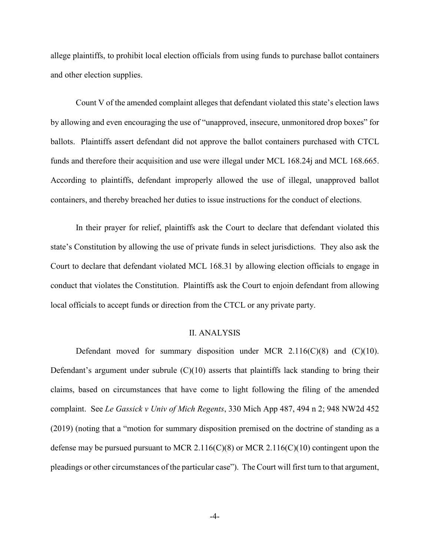allege plaintiffs, to prohibit local election officials from using funds to purchase ballot containers and other election supplies.

Count V of the amended complaint alleges that defendant violated this state's election laws by allowing and even encouraging the use of "unapproved, insecure, unmonitored drop boxes" for ballots. Plaintiffs assert defendant did not approve the ballot containers purchased with CTCL funds and therefore their acquisition and use were illegal under MCL 168.24j and MCL 168.665. According to plaintiffs, defendant improperly allowed the use of illegal, unapproved ballot containers, and thereby breached her duties to issue instructions for the conduct of elections.

In their prayer for relief, plaintiffs ask the Court to declare that defendant violated this state's Constitution by allowing the use of private funds in select jurisdictions. They also ask the Court to declare that defendant violated MCL 168.31 by allowing election officials to engage in conduct that violates the Constitution. Plaintiffs ask the Court to enjoin defendant from allowing local officials to accept funds or direction from the CTCL or any private party.

### II. ANALYSIS

Defendant moved for summary disposition under MCR  $2.116(C)(8)$  and  $(C)(10)$ . Defendant's argument under subrule  $(C)(10)$  asserts that plaintiffs lack standing to bring their claims, based on circumstances that have come to light following the filing of the amended complaint. See *Le Gassick v Univ of Mich Regents*, 330 Mich App 487, 494 n 2; 948 NW2d 452 (2019) (noting that a "motion for summary disposition premised on the doctrine of standing as a defense may be pursued pursuant to MCR 2.116(C)(8) or MCR 2.116(C)(10) contingent upon the pleadings or other circumstances of the particular case"). The Court will first turn to that argument,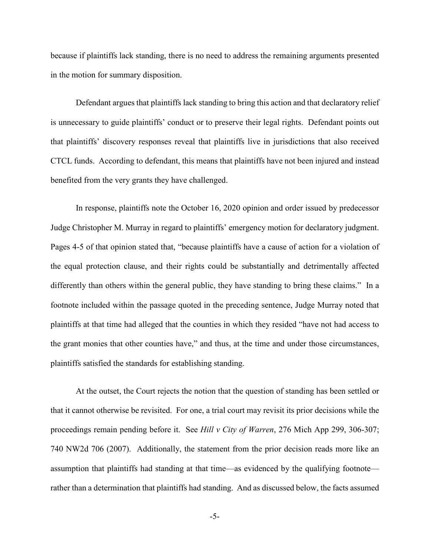because if plaintiffs lack standing, there is no need to address the remaining arguments presented in the motion for summary disposition.

Defendant argues that plaintiffs lack standing to bring this action and that declaratory relief is unnecessary to guide plaintiffs' conduct or to preserve their legal rights. Defendant points out that plaintiffs' discovery responses reveal that plaintiffs live in jurisdictions that also received CTCL funds. According to defendant, this means that plaintiffs have not been injured and instead benefited from the very grants they have challenged.

In response, plaintiffs note the October 16, 2020 opinion and order issued by predecessor Judge Christopher M. Murray in regard to plaintiffs' emergency motion for declaratory judgment. Pages 4-5 of that opinion stated that, "because plaintiffs have a cause of action for a violation of the equal protection clause, and their rights could be substantially and detrimentally affected differently than others within the general public, they have standing to bring these claims." In a footnote included within the passage quoted in the preceding sentence, Judge Murray noted that plaintiffs at that time had alleged that the counties in which they resided "have not had access to the grant monies that other counties have," and thus, at the time and under those circumstances, plaintiffs satisfied the standards for establishing standing.

At the outset, the Court rejects the notion that the question of standing has been settled or that it cannot otherwise be revisited. For one, a trial court may revisit its prior decisions while the proceedings remain pending before it. See *Hill v City of Warren*, 276 Mich App 299, 306-307; 740 NW2d 706 (2007). Additionally, the statement from the prior decision reads more like an assumption that plaintiffs had standing at that time—as evidenced by the qualifying footnote rather than a determination that plaintiffs had standing. And as discussed below, the facts assumed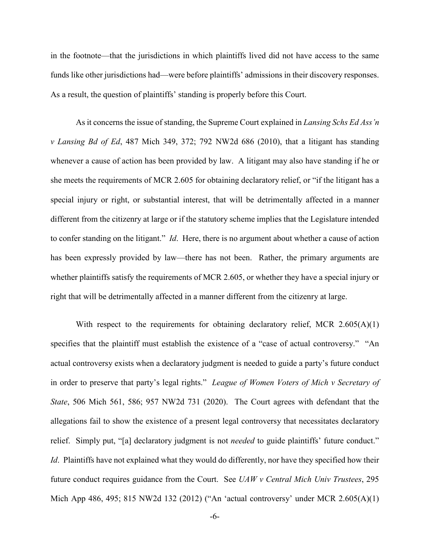in the footnote—that the jurisdictions in which plaintiffs lived did not have access to the same funds like other jurisdictions had—were before plaintiffs' admissions in their discovery responses. As a result, the question of plaintiffs' standing is properly before this Court.

As it concerns the issue of standing, the Supreme Court explained in *Lansing Schs Ed Ass'n v Lansing Bd of Ed*, 487 Mich 349, 372; 792 NW2d 686 (2010), that a litigant has standing whenever a cause of action has been provided by law. A litigant may also have standing if he or she meets the requirements of MCR 2.605 for obtaining declaratory relief, or "if the litigant has a special injury or right, or substantial interest, that will be detrimentally affected in a manner different from the citizenry at large or if the statutory scheme implies that the Legislature intended to confer standing on the litigant." *Id*. Here, there is no argument about whether a cause of action has been expressly provided by law—there has not been. Rather, the primary arguments are whether plaintiffs satisfy the requirements of MCR 2.605, or whether they have a special injury or right that will be detrimentally affected in a manner different from the citizenry at large.

With respect to the requirements for obtaining declaratory relief, MCR 2.605(A)(1) specifies that the plaintiff must establish the existence of a "case of actual controversy." "An actual controversy exists when a declaratory judgment is needed to guide a party's future conduct in order to preserve that party's legal rights." *League of Women Voters of Mich v Secretary of State*, 506 Mich 561, 586; 957 NW2d 731 (2020). The Court agrees with defendant that the allegations fail to show the existence of a present legal controversy that necessitates declaratory relief. Simply put, "[a] declaratory judgment is not *needed* to guide plaintiffs' future conduct." *Id*. Plaintiffs have not explained what they would do differently, nor have they specified how their future conduct requires guidance from the Court. See *UAW v Central Mich Univ Trustees*, 295 Mich App 486, 495; 815 NW2d 132 (2012) ("An 'actual controversy' under MCR 2.605(A)(1)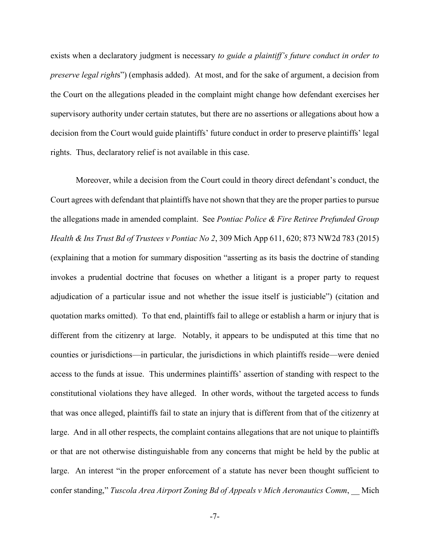exists when a declaratory judgment is necessary *to guide a plaintiff's future conduct in order to preserve legal right*s") (emphasis added). At most, and for the sake of argument, a decision from the Court on the allegations pleaded in the complaint might change how defendant exercises her supervisory authority under certain statutes, but there are no assertions or allegations about how a decision from the Court would guide plaintiffs' future conduct in order to preserve plaintiffs' legal rights. Thus, declaratory relief is not available in this case.

Moreover, while a decision from the Court could in theory direct defendant's conduct, the Court agrees with defendant that plaintiffs have not shown that they are the proper parties to pursue the allegations made in amended complaint. See *Pontiac Police & Fire Retiree Prefunded Group Health & Ins Trust Bd of Trustees v Pontiac No 2*, 309 Mich App 611, 620; 873 NW2d 783 (2015) (explaining that a motion for summary disposition "asserting as its basis the doctrine of standing invokes a prudential doctrine that focuses on whether a litigant is a proper party to request adjudication of a particular issue and not whether the issue itself is justiciable") (citation and quotation marks omitted). To that end, plaintiffs fail to allege or establish a harm or injury that is different from the citizenry at large. Notably, it appears to be undisputed at this time that no counties or jurisdictions—in particular, the jurisdictions in which plaintiffs reside—were denied access to the funds at issue. This undermines plaintiffs' assertion of standing with respect to the constitutional violations they have alleged. In other words, without the targeted access to funds that was once alleged, plaintiffs fail to state an injury that is different from that of the citizenry at large. And in all other respects, the complaint contains allegations that are not unique to plaintiffs or that are not otherwise distinguishable from any concerns that might be held by the public at large. An interest "in the proper enforcement of a statute has never been thought sufficient to confer standing," *Tuscola Area Airport Zoning Bd of Appeals v Mich Aeronautics Comm*, \_\_ Mich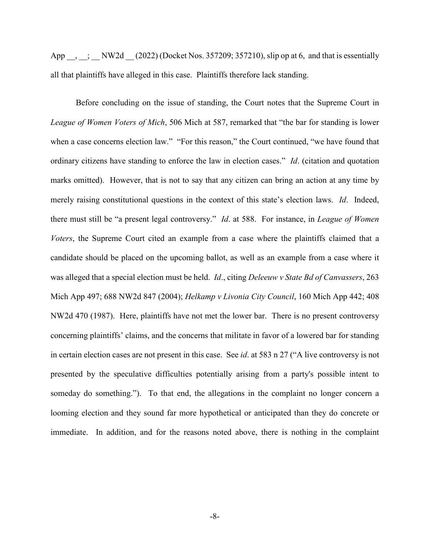App \_\_, \_\_; \_\_ NW2d \_\_ (2022) (Docket Nos. 357209; 357210), slip op at 6, and that is essentially all that plaintiffs have alleged in this case. Plaintiffs therefore lack standing.

Before concluding on the issue of standing, the Court notes that the Supreme Court in *League of Women Voters of Mich*, 506 Mich at 587, remarked that "the bar for standing is lower when a case concerns election law." "For this reason," the Court continued, "we have found that ordinary citizens have standing to enforce the law in election cases." *Id*. (citation and quotation marks omitted). However, that is not to say that any citizen can bring an action at any time by merely raising constitutional questions in the context of this state's election laws. *Id*. Indeed, there must still be "a present legal controversy." *Id*. at 588. For instance, in *League of Women Voters*, the Supreme Court cited an example from a case where the plaintiffs claimed that a candidate should be placed on the upcoming ballot, as well as an example from a case where it was alleged that a special election must be held. *Id*., citing *Deleeuw v State Bd of Canvassers*, 263 Mich App 497; 688 NW2d 847 (2004); *Helkamp v Livonia City Council*, 160 Mich App 442; 408 NW2d 470 (1987). Here, plaintiffs have not met the lower bar. There is no present controversy concerning plaintiffs' claims, and the concerns that militate in favor of a lowered bar for standing in certain election cases are not present in this case. See *id*. at 583 n 27 ("A live controversy is not presented by the speculative difficulties potentially arising from a party's possible intent to someday do something."). To that end, the allegations in the complaint no longer concern a looming election and they sound far more hypothetical or anticipated than they do concrete or immediate. In addition, and for the reasons noted above, there is nothing in the complaint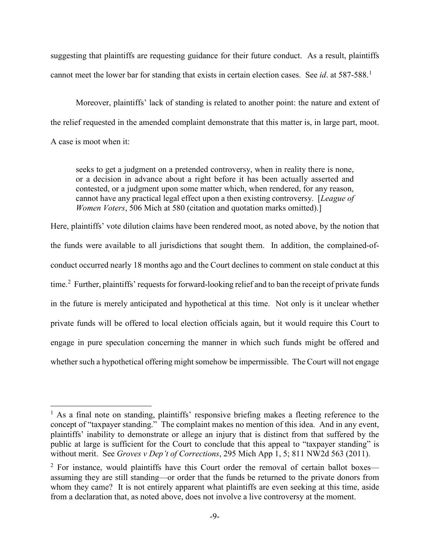suggesting that plaintiffs are requesting guidance for their future conduct. As a result, plaintiffs cannot meet the lower bar for standing that exists in certain election cases. See *id*. at 587-588.<sup>[1](#page-8-0)</sup>

Moreover, plaintiffs' lack of standing is related to another point: the nature and extent of the relief requested in the amended complaint demonstrate that this matter is, in large part, moot. A case is moot when it:

seeks to get a judgment on a pretended controversy, when in reality there is none, or a decision in advance about a right before it has been actually asserted and contested, or a judgment upon some matter which, when rendered, for any reason, cannot have any practical legal effect upon a then existing controversy. [*League of Women Voters*, 506 Mich at 580 (citation and quotation marks omitted).]

Here, plaintiffs' vote dilution claims have been rendered moot, as noted above, by the notion that the funds were available to all jurisdictions that sought them. In addition, the complained-ofconduct occurred nearly 18 months ago and the Court declines to comment on stale conduct at this time.<sup>[2](#page-8-1)</sup> Further, plaintiffs' requests for forward-looking relief and to ban the receipt of private funds in the future is merely anticipated and hypothetical at this time. Not only is it unclear whether private funds will be offered to local election officials again, but it would require this Court to engage in pure speculation concerning the manner in which such funds might be offered and whether such a hypothetical offering might somehow be impermissible. The Court will not engage

<span id="page-8-0"></span> $<sup>1</sup>$  As a final note on standing, plaintiffs' responsive briefing makes a fleeting reference to the</sup> concept of "taxpayer standing." The complaint makes no mention of this idea. And in any event, plaintiffs' inability to demonstrate or allege an injury that is distinct from that suffered by the public at large is sufficient for the Court to conclude that this appeal to "taxpayer standing" is without merit. See *Groves v Dep't of Corrections*, 295 Mich App 1, 5; 811 NW2d 563 (2011).

<span id="page-8-1"></span> $2$  For instance, would plaintiffs have this Court order the removal of certain ballot boxes assuming they are still standing—or order that the funds be returned to the private donors from whom they came? It is not entirely apparent what plaintiffs are even seeking at this time, aside from a declaration that, as noted above, does not involve a live controversy at the moment.